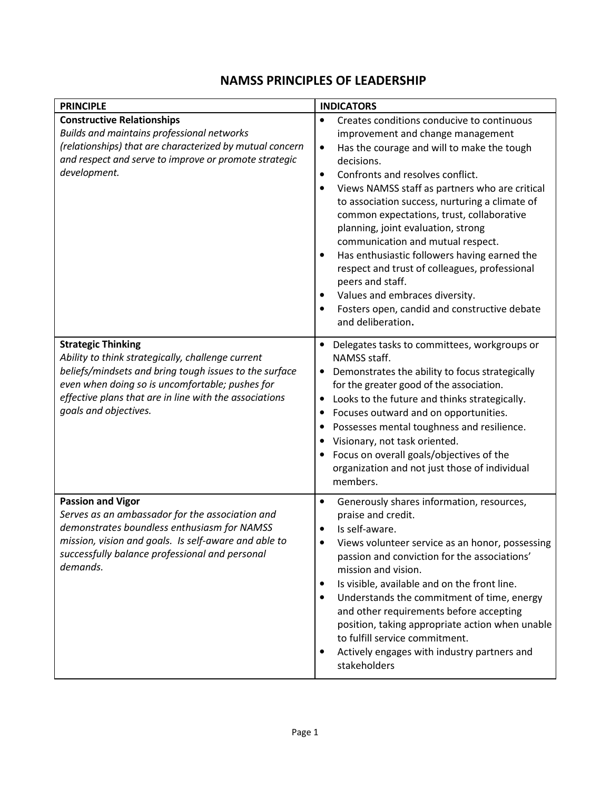## NAMSS PRINCIPLES OF LEADERSHIP

| <b>PRINCIPLE</b>                                                                                                                                                                                                                                                               | <b>INDICATORS</b>                                                                                                                                                                                                                                                                                                                                                                                                                                                                                                                                                                                                                                                                                                          |
|--------------------------------------------------------------------------------------------------------------------------------------------------------------------------------------------------------------------------------------------------------------------------------|----------------------------------------------------------------------------------------------------------------------------------------------------------------------------------------------------------------------------------------------------------------------------------------------------------------------------------------------------------------------------------------------------------------------------------------------------------------------------------------------------------------------------------------------------------------------------------------------------------------------------------------------------------------------------------------------------------------------------|
| <b>Constructive Relationships</b><br>Builds and maintains professional networks<br>(relationships) that are characterized by mutual concern<br>and respect and serve to improve or promote strategic<br>development.                                                           | Creates conditions conducive to continuous<br>$\bullet$<br>improvement and change management<br>Has the courage and will to make the tough<br>$\bullet$<br>decisions.<br>Confronts and resolves conflict.<br>$\bullet$<br>Views NAMSS staff as partners who are critical<br>$\bullet$<br>to association success, nurturing a climate of<br>common expectations, trust, collaborative<br>planning, joint evaluation, strong<br>communication and mutual respect.<br>Has enthusiastic followers having earned the<br>$\bullet$<br>respect and trust of colleagues, professional<br>peers and staff.<br>Values and embraces diversity.<br>٠<br>Fosters open, candid and constructive debate<br>$\bullet$<br>and deliberation. |
| <b>Strategic Thinking</b><br>Ability to think strategically, challenge current<br>beliefs/mindsets and bring tough issues to the surface<br>even when doing so is uncomfortable; pushes for<br>effective plans that are in line with the associations<br>goals and objectives. | Delegates tasks to committees, workgroups or<br>NAMSS staff.<br>Demonstrates the ability to focus strategically<br>for the greater good of the association.<br>Looks to the future and thinks strategically.<br>$\bullet$<br>Focuses outward and on opportunities.<br>٠<br>Possesses mental toughness and resilience.<br>$\bullet$<br>Visionary, not task oriented.<br>$\bullet$<br>Focus on overall goals/objectives of the<br>organization and not just those of individual<br>members.                                                                                                                                                                                                                                  |
| <b>Passion and Vigor</b><br>Serves as an ambassador for the association and<br>demonstrates boundless enthusiasm for NAMSS<br>mission, vision and goals. Is self-aware and able to<br>successfully balance professional and personal<br>demands.                               | Generously shares information, resources,<br>$\bullet$<br>praise and credit.<br>Is self-aware.<br>Views volunteer service as an honor, possessing<br>passion and conviction for the associations'<br>mission and vision.<br>Is visible, available and on the front line.<br>٠<br>Understands the commitment of time, energy<br>$\bullet$<br>and other requirements before accepting<br>position, taking appropriate action when unable<br>to fulfill service commitment.<br>Actively engages with industry partners and<br>$\bullet$<br>stakeholders                                                                                                                                                                       |